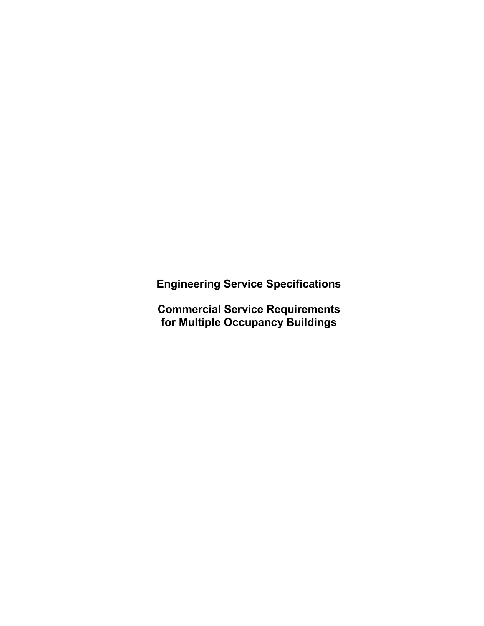**Engineering Service Specifications**

**Commercial Service Requirements for Multiple Occupancy Buildings**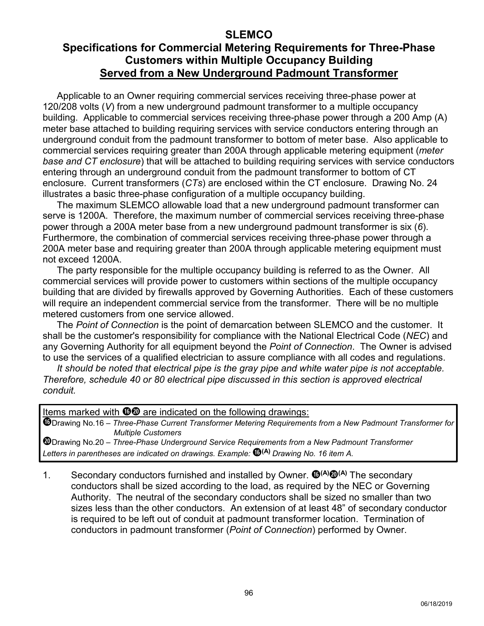## **Specifications for Commercial Metering Requirements for Three-Phase Customers within Multiple Occupancy Building Served from a New Underground Padmount Transformer**

Applicable to an Owner requiring commercial services receiving three-phase power at 120/208 volts (*V*) from a new underground padmount transformer to a multiple occupancy building. Applicable to commercial services receiving three-phase power through a 200 Amp (A) meter base attached to building requiring services with service conductors entering through an underground conduit from the padmount transformer to bottom of meter base. Also applicable to commercial services requiring greater than 200A through applicable metering equipment (*meter base and CT enclosure*) that will be attached to building requiring services with service conductors entering through an underground conduit from the padmount transformer to bottom of CT enclosure. Current transformers (*CTs*) are enclosed within the CT enclosure. Drawing No. 24 illustrates a basic three-phase configuration of a multiple occupancy building.

The maximum SLEMCO allowable load that a new underground padmount transformer can serve is 1200A. Therefore, the maximum number of commercial services receiving three-phase power through a 200A meter base from a new underground padmount transformer is six (*6*). Furthermore, the combination of commercial services receiving three-phase power through a 200A meter base and requiring greater than 200A through applicable metering equipment must not exceed 1200A.

The party responsible for the multiple occupancy building is referred to as the Owner. All commercial services will provide power to customers within sections of the multiple occupancy building that are divided by firewalls approved by Governing Authorities. Each of these customers will require an independent commercial service from the transformer. There will be no multiple metered customers from one service allowed.

The *Point of Connection* is the point of demarcation between SLEMCO and the customer. It shall be the customer's responsibility for compliance with the National Electrical Code (*NEC*) and any Governing Authority for all equipment beyond the *Point of Connection*. The Owner is advised to use the services of a qualified electrician to assure compliance with all codes and regulations.

*It should be noted that electrical pipe is the gray pipe and white water pipe is not acceptable. Therefore, schedule 40 or 80 electrical pipe discussed in this section is approved electrical conduit.*

Items marked with  $\mathbf{0}\mathbf{0}$  are indicated on the following drawings:

Drawing No.16 – *Three-Phase Current Transformer Metering Requirements from a New Padmount Transformer for Multiple Customers*

Drawing No.20 – *Three-Phase Underground Service Requirements from a New Padmount Transformer Letters in parentheses are indicated on drawings. Example:* **(A)** *Drawing No. 16 item A.*

1. Secondary conductors furnished and installed by Owner.  $\mathbf{\Phi}^{(A)}\mathbf{\Phi}^{(A)}$  The secondary conductors shall be sized according to the load, as required by the NEC or Governing Authority. The neutral of the secondary conductors shall be sized no smaller than two sizes less than the other conductors. An extension of at least 48" of secondary conductor is required to be left out of conduit at padmount transformer location. Termination of conductors in padmount transformer (*Point of Connection*) performed by Owner.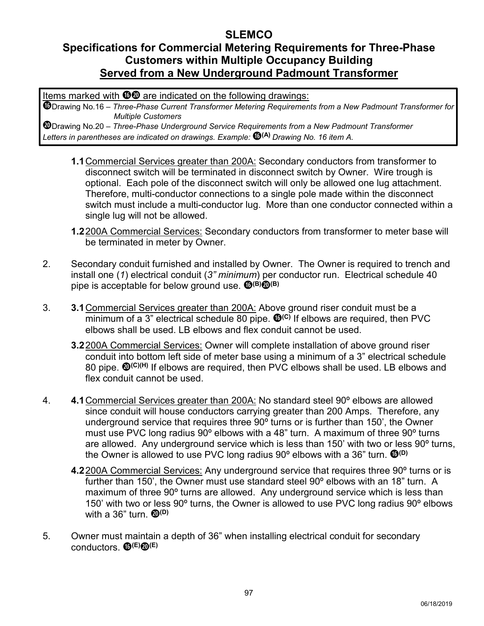## **Specifications for Commercial Metering Requirements for Three-Phase Customers within Multiple Occupancy Building Served from a New Underground Padmount Transformer**

Items marked with  $\mathbf{0}\mathbf{0}$  are indicated on the following drawings:

Drawing No.16 – *Three-Phase Current Transformer Metering Requirements from a New Padmount Transformer for Multiple Customers*

- **1.1**Commercial Services greater than 200A: Secondary conductors from transformer to disconnect switch will be terminated in disconnect switch by Owner. Wire trough is optional. Each pole of the disconnect switch will only be allowed one lug attachment. Therefore, multi-conductor connections to a single pole made within the disconnect switch must include a multi-conductor lug. More than one conductor connected within a single lug will not be allowed.
- **1.2**200A Commercial Services: Secondary conductors from transformer to meter base will be terminated in meter by Owner.
- 2. Secondary conduit furnished and installed by Owner. The Owner is required to trench and install one (*1*) electrical conduit (*3" minimum*) per conductor run. Electrical schedule 40 pipe is acceptable for below ground use. **(B)(B)**
- 3. **3.1**Commercial Services greater than 200A: Above ground riser conduit must be a minimum of a 3" electrical schedule 80 pipe.  $\mathbf{O}^{(c)}$  if elbows are required, then PVC elbows shall be used. LB elbows and flex conduit cannot be used.
	- **3.2**200A Commercial Services: Owner will complete installation of above ground riser conduit into bottom left side of meter base using a minimum of a 3" electrical schedule 80 pipe. <sup>(D(C)(H)</sup> If elbows are required, then PVC elbows shall be used. LB elbows and flex conduit cannot be used.
- 4. **4.1**Commercial Services greater than 200A: No standard steel 90º elbows are allowed since conduit will house conductors carrying greater than 200 Amps. Therefore, any underground service that requires three 90º turns or is further than 150', the Owner must use PVC long radius 90º elbows with a 48" turn. A maximum of three 90º turns are allowed. Any underground service which is less than 150' with two or less 90º turns, the Owner is allowed to use PVC long radius 90º elbows with a 36" turn. **(D)**
	- **4.2**200A Commercial Services: Any underground service that requires three 90º turns or is further than 150', the Owner must use standard steel 90º elbows with an 18" turn. A maximum of three 90º turns are allowed. Any underground service which is less than 150' with two or less 90º turns, the Owner is allowed to use PVC long radius 90º elbows with a 36" turn. **<sup>(D(D)</sup>**
- 5. Owner must maintain a depth of 36" when installing electrical conduit for secondary conductors. **(E)(E)**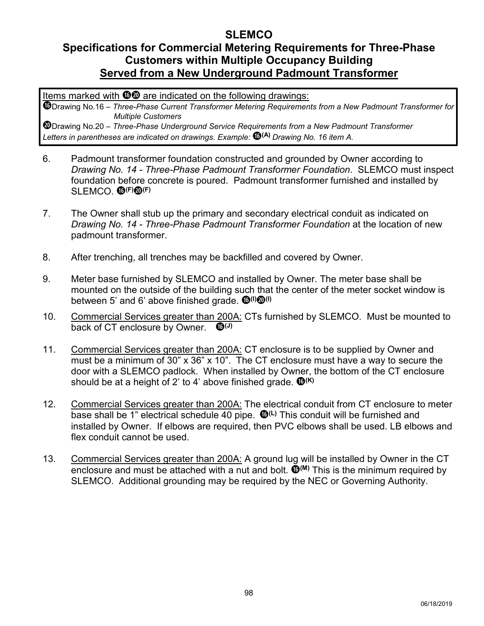## **Specifications for Commercial Metering Requirements for Three-Phase Customers within Multiple Occupancy Building Served from a New Underground Padmount Transformer**

Items marked with  $\mathbf{0}\mathbf{0}$  are indicated on the following drawings:

Drawing No.16 – *Three-Phase Current Transformer Metering Requirements from a New Padmount Transformer for Multiple Customers*

- 6. Padmount transformer foundation constructed and grounded by Owner according to *Drawing No. 14 - Three-Phase Padmount Transformer Foundation*. SLEMCO must inspect foundation before concrete is poured. Padmount transformer furnished and installed by SLEMCO. **(F)(F)**
- 7. The Owner shall stub up the primary and secondary electrical conduit as indicated on *Drawing No. 14 - Three-Phase Padmount Transformer Foundation* at the location of new padmount transformer.
- 8. After trenching, all trenches may be backfilled and covered by Owner.
- 9. Meter base furnished by SLEMCO and installed by Owner. The meter base shall be mounted on the outside of the building such that the center of the meter socket window is between 5' and 6' above finished grade.  $\mathbf{0}^{(1)}\mathbf{0}^{(1)}$
- 10. Commercial Services greater than 200A: CTs furnished by SLEMCO. Must be mounted to back of CT enclosure by Owner.  $\mathbf{0}^{(1)}$
- 11. Commercial Services greater than 200A: CT enclosure is to be supplied by Owner and must be a minimum of 30" x 36" x 10". The CT enclosure must have a way to secure the door with a SLEMCO padlock. When installed by Owner, the bottom of the CT enclosure should be at a height of 2' to 4' above finished grade.  $\mathbf{\mathbb{G}}^{(\mathsf{K})}$
- 12. Commercial Services greater than 200A: The electrical conduit from CT enclosure to meter base shall be 1" electrical schedule 40 pipe. **(L)** This conduit will be furnished and installed by Owner. If elbows are required, then PVC elbows shall be used. LB elbows and flex conduit cannot be used.
- 13. Commercial Services greater than 200A: A ground lug will be installed by Owner in the CT enclosure and must be attached with a nut and bolt.  $\mathbf{O}^{(M)}$  This is the minimum required by SLEMCO. Additional grounding may be required by the NEC or Governing Authority.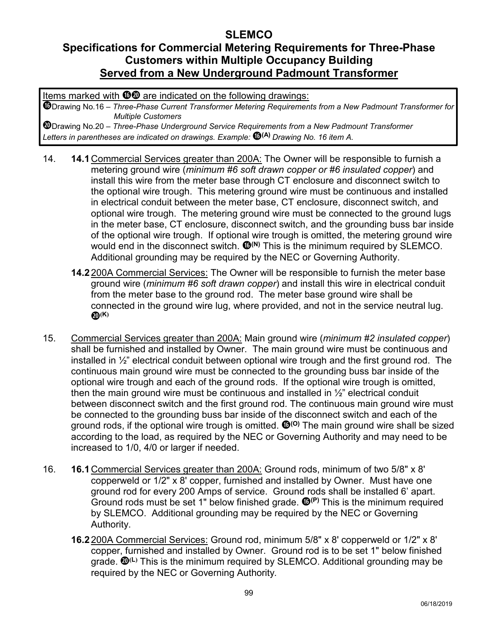# **Specifications for Commercial Metering Requirements for Three-Phase Customers within Multiple Occupancy Building Served from a New Underground Padmount Transformer**

Items marked with  $\mathbf{0}\mathbf{0}$  are indicated on the following drawings:

Drawing No.16 – *Three-Phase Current Transformer Metering Requirements from a New Padmount Transformer for Multiple Customers*

- 14. **14.1** Commercial Services greater than 200A: The Owner will be responsible to furnish a metering ground wire (*minimum #6 soft drawn copper or #6 insulated copper*) and install this wire from the meter base through CT enclosure and disconnect switch to the optional wire trough. This metering ground wire must be continuous and installed in electrical conduit between the meter base, CT enclosure, disconnect switch, and optional wire trough. The metering ground wire must be connected to the ground lugs in the meter base, CT enclosure, disconnect switch, and the grounding buss bar inside of the optional wire trough. If optional wire trough is omitted, the metering ground wire would end in the disconnect switch.  $\mathbf{O}^{(N)}$  This is the minimum required by SLEMCO. Additional grounding may be required by the NEC or Governing Authority.
	- **14.2** 200A Commercial Services: The Owner will be responsible to furnish the meter base ground wire (*minimum #6 soft drawn copper*) and install this wire in electrical conduit from the meter base to the ground rod. The meter base ground wire shall be connected in the ground wire lug, where provided, and not in the service neutral lug. **(K)**
- 15. Commercial Services greater than 200A: Main ground wire (*minimum #2 insulated copper*) shall be furnished and installed by Owner. The main ground wire must be continuous and installed in  $\frac{1}{2}$ " electrical conduit between optional wire trough and the first ground rod. The continuous main ground wire must be connected to the grounding buss bar inside of the optional wire trough and each of the ground rods. If the optional wire trough is omitted, then the main ground wire must be continuous and installed in  $\frac{1}{2}$ " electrical conduit between disconnect switch and the first ground rod. The continuous main ground wire must be connected to the grounding buss bar inside of the disconnect switch and each of the ground rods, if the optional wire trough is omitted. <sup>10(0)</sup> The main ground wire shall be sized according to the load, as required by the NEC or Governing Authority and may need to be increased to 1/0, 4/0 or larger if needed.
- 16. **16.1** Commercial Services greater than 200A: Ground rods, minimum of two 5/8" x 8' copperweld or 1/2" x 8' copper, furnished and installed by Owner. Must have one ground rod for every 200 Amps of service. Ground rods shall be installed 6' apart. Ground rods must be set 1" below finished grade.  $\mathbf{O}^{(P)}$  This is the minimum required by SLEMCO. Additional grounding may be required by the NEC or Governing Authority.
	- **16.2** 200A Commercial Services: Ground rod, minimum 5/8" x 8' copperweld or 1/2" x 8' copper, furnished and installed by Owner. Ground rod is to be set 1" below finished grade. **(L)** This is the minimum required by SLEMCO. Additional grounding may be required by the NEC or Governing Authority*.*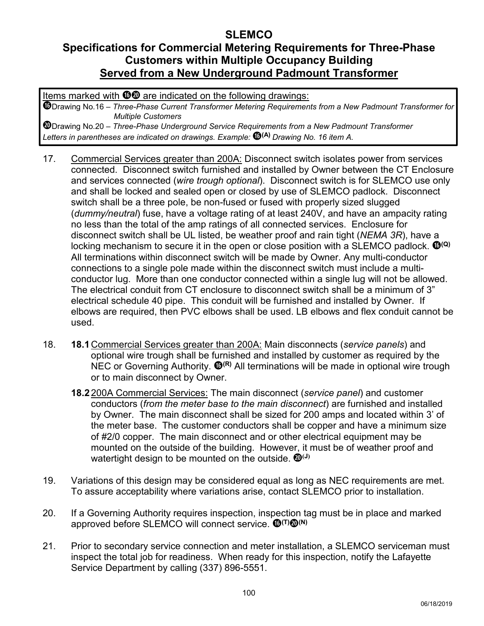# **Specifications for Commercial Metering Requirements for Three-Phase Customers within Multiple Occupancy Building Served from a New Underground Padmount Transformer**

Items marked with  $\mathbf{0}\mathbf{0}$  are indicated on the following drawings:

Drawing No.16 – *Three-Phase Current Transformer Metering Requirements from a New Padmount Transformer for Multiple Customers*

- 17. Commercial Services greater than 200A: Disconnect switch isolates power from services connected. Disconnect switch furnished and installed by Owner between the CT Enclosure and services connected (*wire trough optional*). Disconnect switch is for SLEMCO use only and shall be locked and sealed open or closed by use of SLEMCO padlock. Disconnect switch shall be a three pole, be non-fused or fused with properly sized slugged (*dummy/neutral*) fuse, have a voltage rating of at least 240V, and have an ampacity rating no less than the total of the amp ratings of all connected services. Enclosure for disconnect switch shall be UL listed, be weather proof and rain tight (*NEMA 3R*), have a locking mechanism to secure it in the open or close position with a SLEMCO padlock. <sup>1</sup> All terminations within disconnect switch will be made by Owner. Any multi-conductor connections to a single pole made within the disconnect switch must include a multiconductor lug. More than one conductor connected within a single lug will not be allowed. The electrical conduit from CT enclosure to disconnect switch shall be a minimum of 3" electrical schedule 40 pipe. This conduit will be furnished and installed by Owner. If elbows are required, then PVC elbows shall be used. LB elbows and flex conduit cannot be used.
- 18. **18.1** Commercial Services greater than 200A: Main disconnects (*service panels*) and optional wire trough shall be furnished and installed by customer as required by the NEC or Governing Authority. **<sup>(D<sub>(R)</sub>** All terminations will be made in optional wire trough</sup> or to main disconnect by Owner.
	- **18.2** 200A Commercial Services: The main disconnect (*service panel*) and customer conductors (*from the meter base to the main disconnect*) are furnished and installed by Owner. The main disconnect shall be sized for 200 amps and located within 3' of the meter base. The customer conductors shall be copper and have a minimum size of #2/0 copper. The main disconnect and or other electrical equipment may be mounted on the outside of the building. However, it must be of weather proof and watertight design to be mounted on the outside.  $\mathbf{Q}^{(J)}$
- 19. Variations of this design may be considered equal as long as NEC requirements are met. To assure acceptability where variations arise, contact SLEMCO prior to installation.
- 20. If a Governing Authority requires inspection, inspection tag must be in place and marked approved before SLEMCO will connect service.  $\mathbf{C}^{(T)}\mathbf{Q}^{(N)}$
- 21. Prior to secondary service connection and meter installation, a SLEMCO serviceman must inspect the total job for readiness. When ready for this inspection, notify the Lafayette Service Department by calling (337) 896-5551.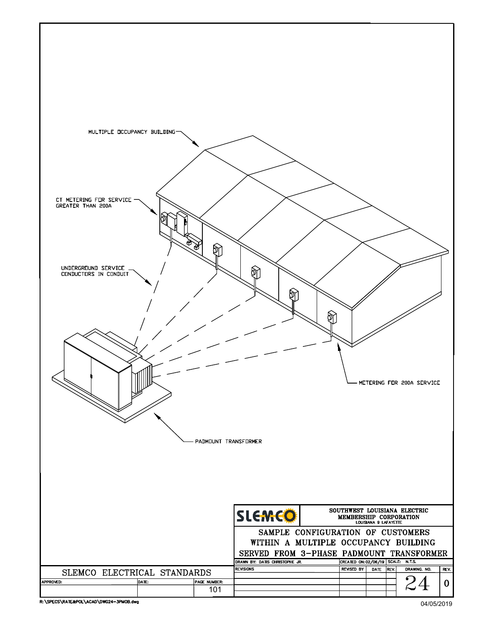

04/05/2019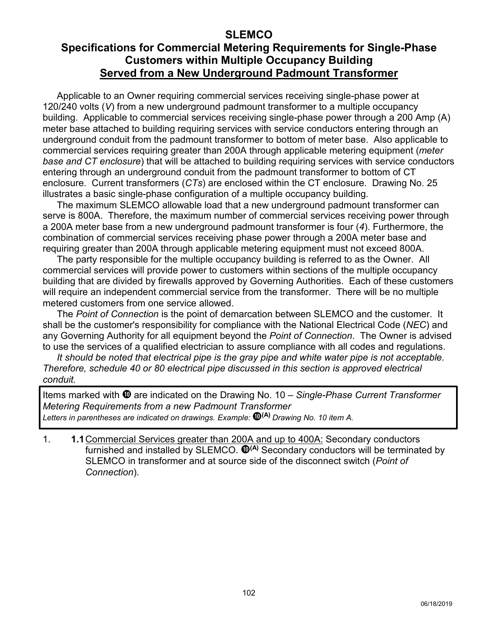## **Specifications for Commercial Metering Requirements for Single-Phase Customers within Multiple Occupancy Building Served from a New Underground Padmount Transformer**

Applicable to an Owner requiring commercial services receiving single-phase power at 120/240 volts (*V*) from a new underground padmount transformer to a multiple occupancy building. Applicable to commercial services receiving single-phase power through a 200 Amp (A) meter base attached to building requiring services with service conductors entering through an underground conduit from the padmount transformer to bottom of meter base. Also applicable to commercial services requiring greater than 200A through applicable metering equipment (*meter base and CT enclosure*) that will be attached to building requiring services with service conductors entering through an underground conduit from the padmount transformer to bottom of CT enclosure. Current transformers (*CTs*) are enclosed within the CT enclosure. Drawing No. 25 illustrates a basic single-phase configuration of a multiple occupancy building.

The maximum SLEMCO allowable load that a new underground padmount transformer can serve is 800A. Therefore, the maximum number of commercial services receiving power through a 200A meter base from a new underground padmount transformer is four (*4*). Furthermore, the combination of commercial services receiving phase power through a 200A meter base and requiring greater than 200A through applicable metering equipment must not exceed 800A.

The party responsible for the multiple occupancy building is referred to as the Owner. All commercial services will provide power to customers within sections of the multiple occupancy building that are divided by firewalls approved by Governing Authorities. Each of these customers will require an independent commercial service from the transformer. There will be no multiple metered customers from one service allowed.

The *Point of Connection* is the point of demarcation between SLEMCO and the customer. It shall be the customer's responsibility for compliance with the National Electrical Code (*NEC*) and any Governing Authority for all equipment beyond the *Point of Connection*. The Owner is advised to use the services of a qualified electrician to assure compliance with all codes and regulations.

*It should be noted that electrical pipe is the gray pipe and white water pipe is not acceptable. Therefore, schedule 40 or 80 electrical pipe discussed in this section is approved electrical conduit.*

Items marked with  $\Phi$  are indicated on the Drawing No. 10 – *Single-Phase Current Transformer Metering Requirements from a new Padmount Transformer Letters in parentheses are indicated on drawings. Example:* **(A)** *Drawing No. 10 item A.*

1. **1.1** Commercial Services greater than 200A and up to 400A: Secondary conductors furnished and installed by SLEMCO.  $\mathbf{O}^{(A)}$  Secondary conductors will be terminated by SLEMCO in transformer and at source side of the disconnect switch (*Point of Connection*).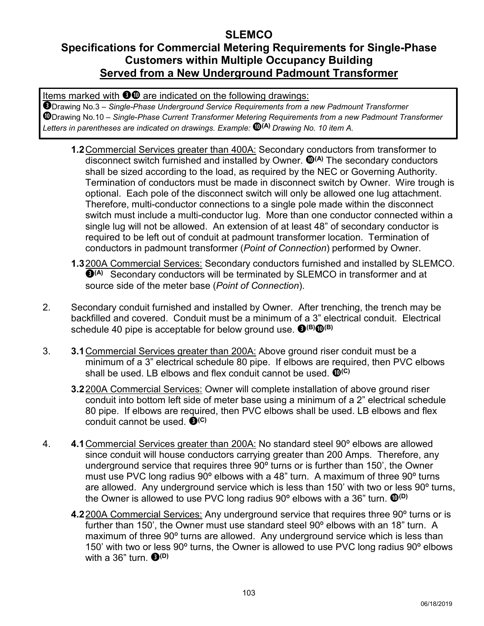# **Specifications for Commercial Metering Requirements for Single-Phase Customers within Multiple Occupancy Building Served from a New Underground Padmount Transformer**

Items marked with  $\bullet\bullet$  are indicated on the following drawings:

- **1.2** Commercial Services greater than 400A: Secondary conductors from transformer to disconnect switch furnished and installed by Owner.  $\mathbf{O}^{(A)}$  The secondary conductors shall be sized according to the load, as required by the NEC or Governing Authority. Termination of conductors must be made in disconnect switch by Owner. Wire trough is optional. Each pole of the disconnect switch will only be allowed one lug attachment. Therefore, multi-conductor connections to a single pole made within the disconnect switch must include a multi-conductor lug. More than one conductor connected within a single lug will not be allowed. An extension of at least 48" of secondary conductor is required to be left out of conduit at padmount transformer location. Termination of conductors in padmount transformer (*Point of Connection*) performed by Owner.
- **1.3**200A Commercial Services: Secondary conductors furnished and installed by SLEMCO. **(A)** Secondary conductors will be terminated by SLEMCO in transformer and at source side of the meter base (*Point of Connection*).
- 2. Secondary conduit furnished and installed by Owner. After trenching, the trench may be backfilled and covered. Conduit must be a minimum of a 3" electrical conduit. Electrical schedule 40 pipe is acceptable for below ground use.  $\mathbf{\Theta}^{(\mathsf{B})} \mathbf{\Theta}^{(\mathsf{B})}$
- 3. **3.1**Commercial Services greater than 200A: Above ground riser conduit must be a minimum of a 3" electrical schedule 80 pipe. If elbows are required, then PVC elbows shall be used. LB elbows and flex conduit cannot be used.  $\mathbf{Q}^{(C)}$ 
	- **3.2**200A Commercial Services: Owner will complete installation of above ground riser conduit into bottom left side of meter base using a minimum of a 2" electrical schedule 80 pipe. If elbows are required, then PVC elbows shall be used. LB elbows and flex conduit cannot be used. **<sup>(C)</sup>**
- 4. **4.1**Commercial Services greater than 200A: No standard steel 90º elbows are allowed since conduit will house conductors carrying greater than 200 Amps. Therefore, any underground service that requires three 90º turns or is further than 150', the Owner must use PVC long radius 90º elbows with a 48" turn. A maximum of three 90º turns are allowed. Any underground service which is less than 150' with two or less 90º turns, the Owner is allowed to use PVC long radius 90<sup>°</sup> elbows with a 36<sup>°</sup> turn.  $\mathbf{Q}^{(D)}$ 
	- **4.2**200A Commercial Services: Any underground service that requires three 90º turns or is further than 150', the Owner must use standard steel 90° elbows with an 18" turn. A maximum of three 90º turns are allowed. Any underground service which is less than 150' with two or less 90º turns, the Owner is allowed to use PVC long radius 90º elbows with a  $36"$  turn.  $\bigoplus$ <sup>(D)</sup>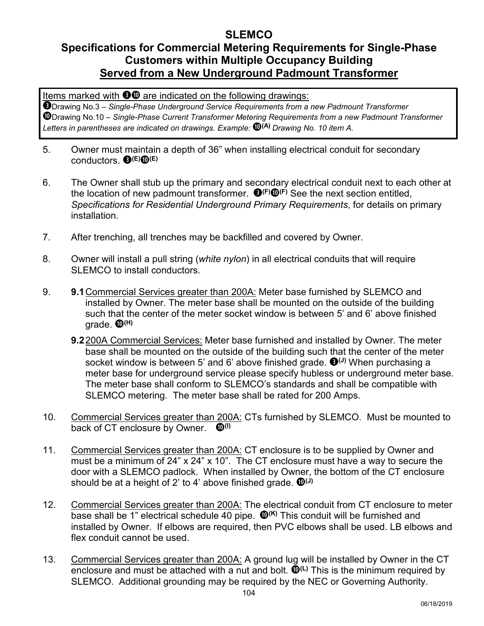# **Specifications for Commercial Metering Requirements for Single-Phase Customers within Multiple Occupancy Building Served from a New Underground Padmount Transformer**

Items marked with  $\bullet\bullet$  are indicated on the following drawings:

- 5. Owner must maintain a depth of 36" when installing electrical conduit for secondary conductors. **(E) (E)**
- 6. The Owner shall stub up the primary and secondary electrical conduit next to each other at the location of new padmount transformer. **(F) (F)** See the next section entitled, *Specifications for Residential Underground Primary Requirements*, for details on primary installation.
- 7. After trenching, all trenches may be backfilled and covered by Owner.
- 8. Owner will install a pull string (*white nylon*) in all electrical conduits that will require SLEMCO to install conductors.
- 9. **9.1** Commercial Services greater than 200A: Meter base furnished by SLEMCO and installed by Owner. The meter base shall be mounted on the outside of the building such that the center of the meter socket window is between 5' and 6' above finished grade. **(H)**
	- **9.2** 200A Commercial Services: Meter base furnished and installed by Owner. The meter base shall be mounted on the outside of the building such that the center of the meter socket window is between 5' and 6' above finished grade. <sup>1</sup> When purchasing a meter base for underground service please specify hubless or underground meter base. The meter base shall conform to SLEMCO's standards and shall be compatible with SLEMCO metering. The meter base shall be rated for 200 Amps.
- 10. Commercial Services greater than 200A: CTs furnished by SLEMCO. Must be mounted to back of CT enclosure by Owner. **(I)**
- 11. Commercial Services greater than 200A: CT enclosure is to be supplied by Owner and must be a minimum of 24" x 24" x 10". The CT enclosure must have a way to secure the door with a SLEMCO padlock. When installed by Owner, the bottom of the CT enclosure should be at a height of 2' to 4' above finished grade.  $\mathbf{D}^{(J)}$
- 12. Commercial Services greater than 200A: The electrical conduit from CT enclosure to meter base shall be 1" electrical schedule 40 pipe.  $\mathbf{D}^{(K)}$  This conduit will be furnished and installed by Owner. If elbows are required, then PVC elbows shall be used. LB elbows and flex conduit cannot be used.
- 13. Commercial Services greater than 200A: A ground lug will be installed by Owner in the CT enclosure and must be attached with a nut and bolt.  $\mathbf{D}^{(L)}$  This is the minimum required by SLEMCO. Additional grounding may be required by the NEC or Governing Authority.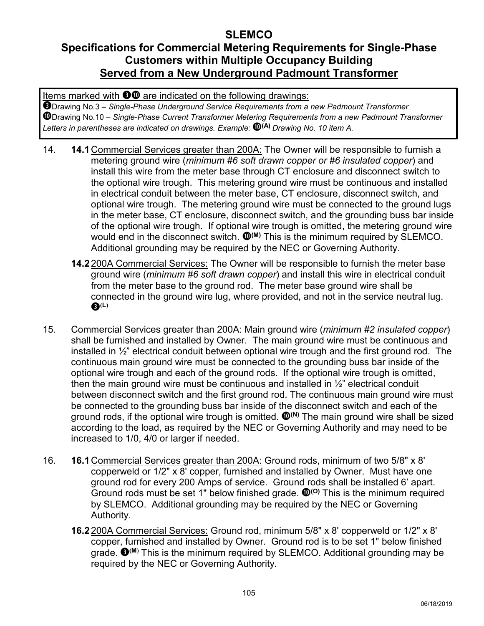# **Specifications for Commercial Metering Requirements for Single-Phase Customers within Multiple Occupancy Building Served from a New Underground Padmount Transformer**

Items marked with  $\bullet\bullet$  are indicated on the following drawings:

- 14. **14.1** Commercial Services greater than 200A: The Owner will be responsible to furnish a metering ground wire (*minimum #6 soft drawn copper or #6 insulated copper*) and install this wire from the meter base through CT enclosure and disconnect switch to the optional wire trough. This metering ground wire must be continuous and installed in electrical conduit between the meter base, CT enclosure, disconnect switch, and optional wire trough. The metering ground wire must be connected to the ground lugs in the meter base, CT enclosure, disconnect switch, and the grounding buss bar inside of the optional wire trough. If optional wire trough is omitted, the metering ground wire would end in the disconnect switch.  $\mathbf{O}^{(M)}$  This is the minimum required by SLEMCO. Additional grounding may be required by the NEC or Governing Authority.
	- **14.2** 200A Commercial Services: The Owner will be responsible to furnish the meter base ground wire (*minimum #6 soft drawn copper*) and install this wire in electrical conduit from the meter base to the ground rod. The meter base ground wire shall be connected in the ground wire lug, where provided, and not in the service neutral lug. **(L)**
- 15. Commercial Services greater than 200A: Main ground wire (*minimum #2 insulated copper*) shall be furnished and installed by Owner. The main ground wire must be continuous and installed in  $\frac{1}{2}$ " electrical conduit between optional wire trough and the first ground rod. The continuous main ground wire must be connected to the grounding buss bar inside of the optional wire trough and each of the ground rods. If the optional wire trough is omitted, then the main ground wire must be continuous and installed in  $\frac{1}{2}$ " electrical conduit between disconnect switch and the first ground rod. The continuous main ground wire must be connected to the grounding buss bar inside of the disconnect switch and each of the ground rods, if the optional wire trough is omitted.  $\mathbf{O}^{(N)}$  The main ground wire shall be sized according to the load, as required by the NEC or Governing Authority and may need to be increased to 1/0, 4/0 or larger if needed.
- 16. **16.1** Commercial Services greater than 200A: Ground rods, minimum of two 5/8" x 8' copperweld or 1/2" x 8' copper, furnished and installed by Owner. Must have one ground rod for every 200 Amps of service. Ground rods shall be installed 6' apart. Ground rods must be set 1" below finished grade.  $\mathbf{O}^{(0)}$  This is the minimum required by SLEMCO. Additional grounding may be required by the NEC or Governing Authority.
	- **16.2** 200A Commercial Services: Ground rod, minimum 5/8" x 8' copperweld or 1/2" x 8' copper, furnished and installed by Owner. Ground rod is to be set 1" below finished grade.  $\mathbf{\Theta}^{(M)}$  This is the minimum required by SLEMCO. Additional grounding may be required by the NEC or Governing Authority*.*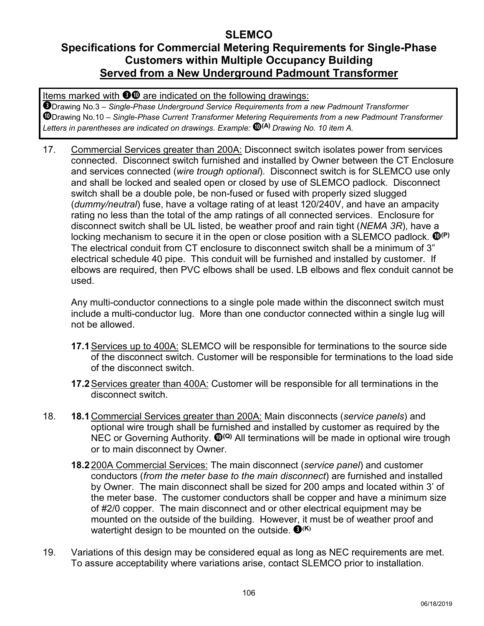# **Specifications for Commercial Metering Requirements for Single-Phase Customers within Multiple Occupancy Building Served from a New Underground Padmount Transformer**

Items marked with  $\bullet\bullet$  are indicated on the following drawings:

Drawing No.3 – *Single-Phase Underground Service Requirements from a new Padmount Transformer* Drawing No.10 – *Single-Phase Current Transformer Metering Requirements from a new Padmount Transformer Letters in parentheses are indicated on drawings. Example:* **(A)** *Drawing No. 10 item A.*

17. Commercial Services greater than 200A: Disconnect switch isolates power from services connected. Disconnect switch furnished and installed by Owner between the CT Enclosure and services connected (*wire trough optional*). Disconnect switch is for SLEMCO use only and shall be locked and sealed open or closed by use of SLEMCO padlock. Disconnect switch shall be a double pole, be non-fused or fused with properly sized slugged (*dummy/neutral*) fuse, have a voltage rating of at least 120/240V, and have an ampacity rating no less than the total of the amp ratings of all connected services. Enclosure for disconnect switch shall be UL listed, be weather proof and rain tight (*NEMA 3R*), have a locking mechanism to secure it in the open or close position with a SLEMCO padlock.  $\mathbf{D}^{(P)}$ The electrical conduit from CT enclosure to disconnect switch shall be a minimum of 3" electrical schedule 40 pipe. This conduit will be furnished and installed by customer. If elbows are required, then PVC elbows shall be used. LB elbows and flex conduit cannot be used.

Any multi-conductor connections to a single pole made within the disconnect switch must include a multi-conductor lug. More than one conductor connected within a single lug will not be allowed.

- **17.1** Services up to 400A: SLEMCO will be responsible for terminations to the source side of the disconnect switch. Customer will be responsible for terminations to the load side of the disconnect switch.
- **17.2** Services greater than 400A: Customer will be responsible for all terminations in the disconnect switch.
- 18. **18.1** Commercial Services greater than 200A: Main disconnects (*service panels*) and optional wire trough shall be furnished and installed by customer as required by the NEC or Governing Authority. <sup>10(a)</sup> All terminations will be made in optional wire trough or to main disconnect by Owner.
	- **18.2** 200A Commercial Services: The main disconnect (*service panel*) and customer conductors (*from the meter base to the main disconnect*) are furnished and installed by Owner. The main disconnect shall be sized for 200 amps and located within 3' of the meter base. The customer conductors shall be copper and have a minimum size of #2/0 copper. The main disconnect and or other electrical equipment may be mounted on the outside of the building. However, it must be of weather proof and watertight design to be mounted on the outside.  $\mathbf{\Theta}^{(K)}$
- 19. Variations of this design may be considered equal as long as NEC requirements are met. To assure acceptability where variations arise, contact SLEMCO prior to installation.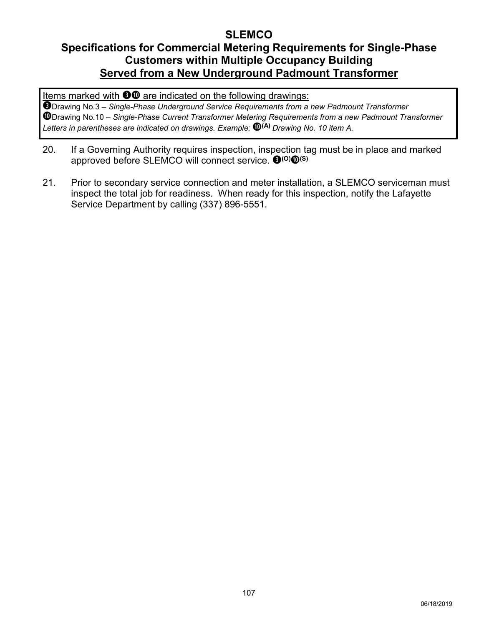# **Specifications for Commercial Metering Requirements for Single-Phase Customers within Multiple Occupancy Building Served from a New Underground Padmount Transformer**

Items marked with  $\bullet\bullet$  are indicated on the following drawings:

- 20. If a Governing Authority requires inspection, inspection tag must be in place and marked approved before SLEMCO will connect service. **(O) (S)**
- 21. Prior to secondary service connection and meter installation, a SLEMCO serviceman must inspect the total job for readiness. When ready for this inspection, notify the Lafayette Service Department by calling (337) 896-5551.